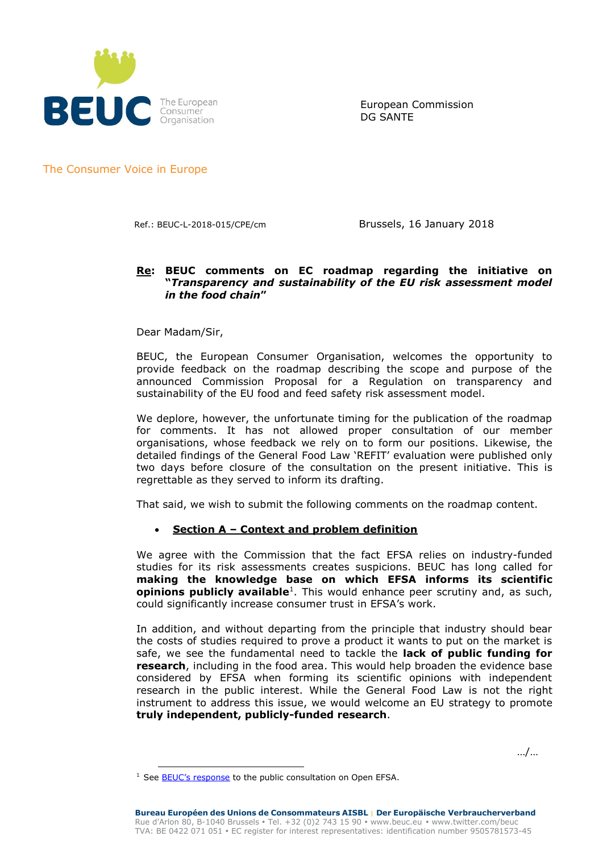

European Commission DG SANTE

The Consumer Voice in Europe

Ref.: BEUC-L-2018-015/CPE/cm Brussels, 16 January 2018

## **Re: BEUC comments on EC roadmap regarding the initiative on "***Transparency and sustainability of the EU risk assessment model in the food chain***"**

Dear Madam/Sir,

-

BEUC, the European Consumer Organisation, welcomes the opportunity to provide feedback on the roadmap describing the scope and purpose of the announced Commission Proposal for a Regulation on transparency and sustainability of the EU food and feed safety risk assessment model.

We deplore, however, the unfortunate timing for the publication of the roadmap for comments. It has not allowed proper consultation of our member organisations, whose feedback we rely on to form our positions. Likewise, the detailed findings of the General Food Law 'REFIT' evaluation were published only two days before closure of the consultation on the present initiative. This is regrettable as they served to inform its drafting.

That said, we wish to submit the following comments on the roadmap content.

## • **Section A – Context and problem definition**

We agree with the Commission that the fact EFSA relies on industry-funded studies for its risk assessments creates suspicions. BEUC has long called for **making the knowledge base on which EFSA informs its scientific opinions publicly available**<sup>1</sup> . This would enhance peer scrutiny and, as such, could significantly increase consumer trust in EFSA's work.

In addition, and without departing from the principle that industry should bear the costs of studies required to prove a product it wants to put on the market is safe, we see the fundamental need to tackle the **lack of public funding for research**, including in the food area. This would help broaden the evidence base considered by EFSA when forming its scientific opinions with independent research in the public interest. While the General Food Law is not the right instrument to address this issue, we would welcome an EU strategy to promote **truly independent, publicly-funded research**.

…/…

<sup>&</sup>lt;sup>1</sup> See **[BEUC's response](http://www.beuc.eu/publications/beuc-x-2014-077_ipa_open_efsa-beuc_response_to_the_public_consultation.pdf)** to the public consultation on Open EFSA.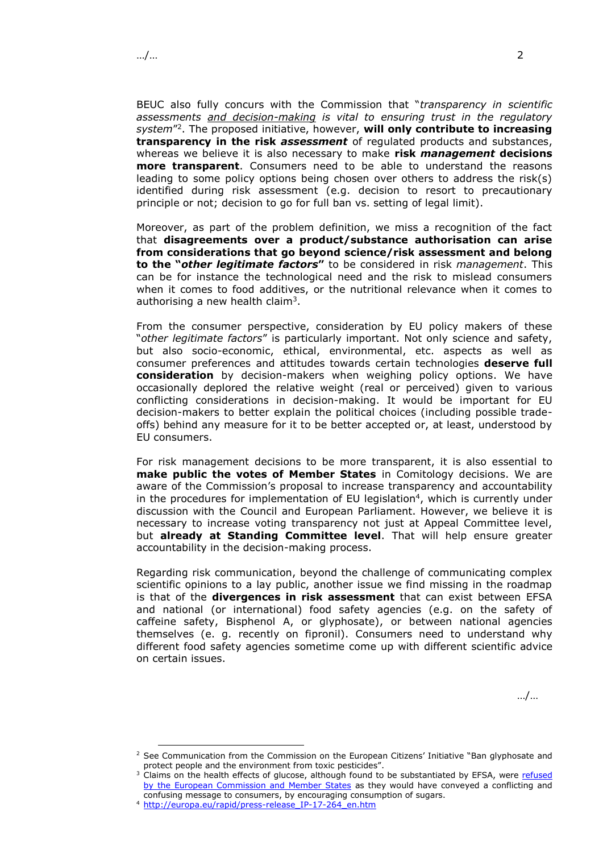BEUC also fully concurs with the Commission that "*transparency in scientific assessments and decision-making is vital to ensuring trust in the regulatory system*" 2 . The proposed initiative, however, **will only contribute to increasing transparency in the risk** *assessment* of regulated products and substances, whereas we believe it is also necessary to make **risk** *management* **decisions more transparent**. Consumers need to be able to understand the reasons leading to some policy options being chosen over others to address the risk(s) identified during risk assessment (e.g. decision to resort to precautionary principle or not; decision to go for full ban vs. setting of legal limit).

Moreover, as part of the problem definition, we miss a recognition of the fact that **disagreements over a product/substance authorisation can arise from considerations that go beyond science/risk assessment and belong to the "***other legitimate factors***"** to be considered in risk *management*. This can be for instance the technological need and the risk to mislead consumers when it comes to food additives, or the nutritional relevance when it comes to authorising a new health claim<sup>3</sup>.

From the consumer perspective, consideration by EU policy makers of these "*other legitimate factors*" is particularly important. Not only science and safety, but also socio-economic, ethical, environmental, etc. aspects as well as consumer preferences and attitudes towards certain technologies **deserve full consideration** by decision-makers when weighing policy options. We have occasionally deplored the relative weight (real or perceived) given to various conflicting considerations in decision-making. It would be important for EU decision-makers to better explain the political choices (including possible tradeoffs) behind any measure for it to be better accepted or, at least, understood by EU consumers.

For risk management decisions to be more transparent, it is also essential to **make public the votes of Member States** in Comitology decisions. We are aware of the Commission's proposal to increase transparency and accountability in the procedures for implementation of EU legislation<sup>4</sup>, which is currently under discussion with the Council and European Parliament. However, we believe it is necessary to increase voting transparency not just at Appeal Committee level, but **already at Standing Committee level**. That will help ensure greater accountability in the decision-making process.

Regarding risk communication, beyond the challenge of communicating complex scientific opinions to a lay public, another issue we find missing in the roadmap is that of the **divergences in risk assessment** that can exist between EFSA and national (or international) food safety agencies (e.g. on the safety of caffeine safety, Bisphenol A, or glyphosate), or between national agencies themselves (e. g. recently on fipronil). Consumers need to understand why different food safety agencies sometime come up with different scientific advice on certain issues.

…/…

-

<sup>&</sup>lt;sup>2</sup> See Communication from the Commission on the European Citizens' Initiative "Ban glyphosate and protect people and the environment from toxic pesticides".

<sup>&</sup>lt;sup>3</sup> Claims on the health effects of glucose, although found to be substantiated by EFSA, were refused [by the European Commission and Member States](http://eur-lex.europa.eu/legal-content/EN/TXT/PDF/?uri=CELEX:32015R0008&from=EN) as they would have conveyed a conflicting and confusing message to consumers, by encouraging consumption of sugars.

<sup>4</sup> [http://europa.eu/rapid/press-release\\_IP-17-264\\_en.htm](http://europa.eu/rapid/press-release_IP-17-264_en.htm)